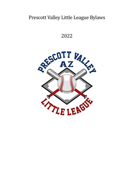# Prescott Valley Little League Bylaws

2022

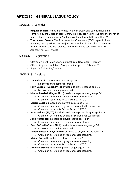# **ARTICLE I – GENERAL LEAGUE POLICY**

### SECTION 1. Calendar

- **Regular Season:** Teams are formed in late February and parents should be contacted by the Coach in early March. Practices are held throughout the month of March. Games begin in early April and continue through the month of May.
- **Tournament Season:** The Tournament of Champions (TOC) begins in June featuring the top Minors and Majors teams in the District. All Star teams are formed in early June with practice and tournaments continuing into July.
- *Appendix A: PVLL Timeline*

### SECTION 2. Registration

- Offered online through Sports Connect from December February
- Offered in-person with two (2) opportunities prior to February 28
- *Appendix B: PVLL Registration*

#### SECTION 3. Divisions

- **Tee Ball:** available to players league age 4-6
	- o No scores or standings recorded
- **Farm Baseball (Coach Pitch):** available to players league age 6-8 o No scores or standings recorded
- **Minors Baseball (Player Pitch):** available to players league age 8-11
	- o Champion determined by regular season standings
	- o Champion represents PVLL at District 10 TOC
- **Majors Baseball:** available to players league age 9-12
	- o Champion determined by end-of-season PVLL tournament
	- o Champion represents PVLL at District 10 TOC
- **Intermediate (50/70) Baseball:** available to players league age 11-13
	- o Champion determined by end-of-season PVLL tournament
- **Juniors Baseball:** available to players league age 12-14
	- o Champion determined by regular season standings
- **Farm Softball (Coach Pitch):** available to players league age 6-8
	- o No scores or standings recorded
- **Minors Softball (Player Pitch):** available to players league age 8-11
	- o Champion determined by regular season standings
- **Majors Softball:** available to players league age 9-12
	- o Champion determined by regular season standings
	- o Champion represents PVLL at District 10 TOC
- **Juniors Softball:** available to players league age 12-14
	- o Champion determined by regular season standings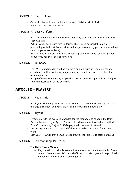# SECTION 5. Ground Rules

- Ground rules will be established for each division within PVLL
- *Appendix C: PVLL Ground Rules*

# SECTION 4. Gear / Uniforms

- PVLL provides each team with bats, helmets, balls, catcher equipment and First Aid Kits
- PVLL provides each team with uniforms. This is accomplished through a partnership with the AZ Diamondbacks (hats, jerseys) and by purchasing from local vendors (pants, socks, belts).
- At a minimum, parents should provide a glove and cleats for their player (glove only for the Tee Ball division)

### SECTION 5. Boundary

- The PVLL Boundary Map shall be reviewed annually with any required changes coordinated with neighboring leagues and submitted through the District for review/approval.
- A copy of the PVLL Boundary Map will be posted on the league website along with a written description of the boundary.

# **ARTICLE II – PLAYERS**

### SECTION 1. Registration

• All players will be registered in Sports Connect; the online tool used by PVLL to manage enrollment and verify player eligibility within the boundary.

# SECTION 2. Tryout

- Tryouts provide the evaluation needed for the Managers to conduct the Draft.
- Players that are League Age 10-13 shall attend tryouts for baseball and softball. *Exception:* returning Majors & 50/70 players do not need to attend.
- League Age 9 are eligible to attend if they want to be considered for a Majors team.
- Each year, PVLL will provide two (2) opportunities for players to attend a tryout.

### SECTION 3. Selection (Regular Season)

#### • **Tee Ball / Farm / Minors**

o Players will be randomly assigned to teams in coordination with the Player Agent, Managers and PVLL Board of Directors. Managers will be provided a limited number of player/coach requests.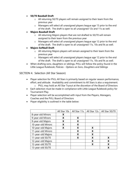#### • **50/70 Baseball Draft**

- o All returning 50/70 players will remain assigned to their team from the previous year
- o Managers will select all unassigned players league age 13 prior to the end of the draft. The draft is open to all unassigned 12s and 11s as well.

#### • **Majors Baseball Draft**

- o All returning Majors players that are not drafted to 50/70 will remain assigned to their team from the previous year
- o Managers will select all unassigned players league age 12 prior to the end of the draft. The draft is open to all unassigned 11s, 10s and 9s as well.

#### • **Majors Softball Draft**

- o All returning Majors players will remain assigned to their team from the previous year
- o Managers will select all unassigned players league age 12 prior to the end of the draft. The draft is open to all unassigned 11s, 10s and 9s as well.
- When drafting sons, daughters or siblings, PVLL will follow the policy found in the Little League Rulebook; *Policies - Options on Sons, Daughters and Siblings*

#### SECTION 4. Selection (All Star Season)

- Player selection for PVLL All Stars is primarily based on regular season performance, effort, and attitude. Availability and commitment to All Stars is also a requirement.
	- o PVLL may hold an All Star Tryout at the discretion of the Board of Directors
- Each selection must be made in compliance with Little League Rulebook policy for Tournament Play.
- Player selection will be accomplished with input from the Players, Managers, Coaches and the PVLL Board of Directors
- Player eligibility is outlined in the table below:

|                    | All Star 10s | All Star 11s | All Star 12s | All Star 50/70 |
|--------------------|--------------|--------------|--------------|----------------|
| 8-year-old Minors  | X            |              |              |                |
| 9-year-old Minors  | х            | X            |              |                |
| 9-year-old Majors  | X            | X            |              |                |
| 10-year-old Minors | x            | X            |              |                |
| 10-year-old Majors | x            | X            | X            |                |
| 11-year-old Minors |              | X            | X            |                |
| 11-year-old Majors |              | X            | X            |                |
| 11-year-old 50/70  |              | x            | X            | X              |
| 12-year-old Majors |              |              | X            | X              |
| 12-year-old 50/70  |              |              | X            | X              |
| 13-year-old 50/70  |              |              |              |                |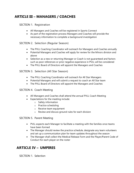# **ARTICLE III – MANAGERS / COACHES**

#### SECTION 1. Registration

- All Managers and Coaches will be registered in Sports Connect
- As part of the registration process Managers and Coaches will provide the necessary information to complete a background investigation

#### SECTION 2. Selection (Regular Season)

- The PVLL Coaching Coordinator will outreach for Managers and Coaches annually
- Potential Managers and Coaches will apply for review for the Minors division and above
- Selection as a new or returning Manager or Coach is not guaranteed and factors such as poor references or prior negative experience in PVLL will be considered
- The PVLL Board of Directors will appoint the Managers and Coaches

### SECTION 3. Selection (All Star Season)

- The PVLL Coaching Coordinator will outreach for All Star Managers
- Potential Managers and will submit a request to coach an All Star team
- The PVLL Board of Directors will appoint the Managers and Coaches

#### SECTION 4. Coach Meeting

- All Managers and Coaches shall attend the annual PVLL Coach Meeting
- Expectations for the meeting include:
	- o Safety information
	- o Practice scheduling
	- o Receive team equipment
	- o Review and discuss ground rules for each division

#### SECTION 5. Parent Meeting

- PVLL expects each Manager to facilitate a meeting with the families once teams have been formed
- The Manager should review the practice schedule, designate any team volunteers and set up a communication plan for team updates throughout the season
- The Manager shall collect the Medical Release Form and the Player/Parent Code of Conduct for each player on the roster

# **ARTICLE IV – UMPIRES**

SECTION 1. Selection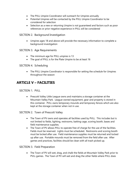- The PVLL Umpire Coordinator will outreach for Umpires annually
- Potential Umpires will be contacted by the PVLL Umpire Coordinator to be considered for selection
- Selection as a new or returning Umpire is not guaranteed and factors such as poor references or prior negative experience in PVLL will be considered

#### SECTION 2. Background Investigation

• Umpires ages 18 and above will provide the necessary information to complete a background investigation

#### SECTION 3. Age Requirements

- The minimum age for PVLL umpires is 13
- The goal of PVLL is for the Plate Umpire to be at least 16

#### SECTION 4. Scheduling

• The PVLL Umpire Coordinator is responsible for setting the schedule for Umpires throughout the season

# **ARTICLE V – FACILITIES**

SECTION 1. PVLL

• Prescott Valley Little League owns and maintains a storage container at the Mountain Valley Park. League-owned equipment, gear and property is stored in this container. PVLL owns temporary mounds and temporary fences which are also kept at the storage container when not in use.

#### SECTION 2. Town of Prescott Valley

- The Town of PV owns and operates all facilities used by PVLL. This includes but is not limited to fields, lighting, restrooms, batting cage, scoring booth, bases and field maintenance supplies.
- The Town of PV allows PVLL to operate free of charge for the use of the facilities. Fields must be reserved. Lights must be scheduled. Restrooms and scoring booth must be locked after use. Field maintenance supplies must be returned and locked up after use. Portable mounds must be removed from the field after use. After games and practices, facilities should be clean with all trash picked up.

#### SECTION 3. Field Preparation

• The Town of PV will wet, drag, and chalk the fields at Mountain Valley Park prior to PVLL games. The Town of PV will wet and drag the other fields where PVLL does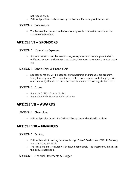not require chalk.

• PVLL will purchase chalk for use by the Town of PV throughout the season.

SECTION 4. Concessions

• The Town of PV contracts with a vendor to provide concessions service at the Mountain Valley Park.

# **ARTICLE VI – SPONSORS**

SECTION 1. Operating Expenses

• Sponsor donations will be used for league expenses such as equipment, chalk, uniforms, umpires, and fees such as charter, insurance, tournament, incorporation, etc.

SECTION 2. Scholarships & Financial Aid

• Sponsor donations will be used for our scholarship and financial aid program. Using this program, PVLL can offer the Little League experience to the players in our community that do not have the financial means to cover registration costs.

#### SECTION 3. Forms

- *Appendix D: PVLL Sponsor Packet*
- *Appendix E: PVLL Financial Aid Application*

# **ARTICLE VII – AWARDS**

SECTION 1. Champions

• PVLL will provide awards for Division Champions as described in Article I

# **ARTICLE VIII – FINANCES**

SECTION 1. Banking

- PVLL will conduct banking business through OneAZ Credit Union, 7111 N Pav Way, Prescott Valley, AZ 86314
- The President and Treasurer will be issued debit cards. The Treasurer will maintain the league checkbook.

SECTION 2. Financial Statements & Budget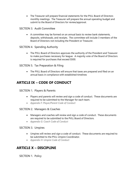• The Treasurer will prepare financial statements for the PVLL Board of Directors monthly meetings. The Treasurer will prepare the annual operating budget and submit to the Board of Directors for review/approval.

### SECTION 3. Audit Committee

• A committee may be formed on an annual basis to review bank statements, deposits, withdrawals, and receipts. The committee will include 3 members of the Board of Directors not including the President or Treasurer.

### SECTION 4. Spending Authority

• The PVLL Board of Directors approves the authority of the President and Treasurer to make purchases necessary for league. A majority vote of the Board of Directors is required for purchases that exceed \$500.

### SECTION 5. Tax Preparation & Filing

• The PVLL Board of Directors will ensure that taxes are prepared and filed on an annual basis in compliance with established timelines

# **ARTICLE IX – CODE OF CONDUCT**

#### SECTION 1. Players & Parents

- Players and parents will review and sign a code of conduct. These documents are required to be submitted to the Manager for each team.
- *Appendix F: Player/Parent Code of Conduct*

#### SECTION 2. Managers & Coaches

- Managers and coaches will review and sign a code of conduct. These documents are required to be submitted to the PVLL Board of Directors.
- *Appendix G: Coach Code of Conduct*

#### SECTION 3. Umpires

- Umpires will review and sign a code of conduct. These documents are required to be submitted to the PVLL Umpire Coordinator.
- *Appendix H: Umpire Code of Conduct*

# **ARTICLE X – DISCIPLINE**

SECTION 1. Policy